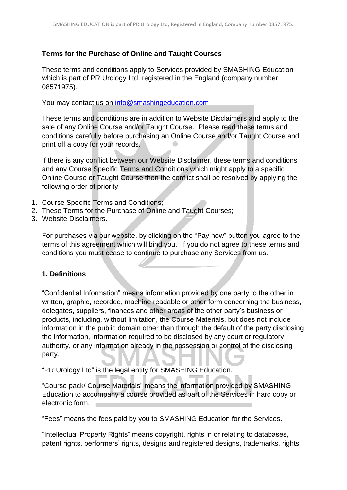## **Terms for the Purchase of Online and Taught Courses**

These terms and conditions apply to Services provided by SMASHING Education which is part of PR Urology Ltd, registered in the England (company number 08571975).

You may contact us on [info@smashingeducation.com](mailto:info@smashingeducation.com)

These terms and conditions are in addition to Website Disclaimers and apply to the sale of any Online Course and/or Taught Course. Please read these terms and conditions carefully before purchasing an Online Course and/or Taught Course and print off a copy for your records.

If there is any conflict between our Website Disclaimer, these terms and conditions and any Course Specific Terms and Conditions which might apply to a specific Online Course or Taught Course then the conflict shall be resolved by applying the following order of priority:

- 1. Course Specific Terms and Conditions;
- 2. These Terms for the Purchase of Online and Taught Courses;
- 3. Website Disclaimers.

For purchases via our website, by clicking on the "Pay now" button you agree to the terms of this agreement which will bind you. If you do not agree to these terms and conditions you must cease to continue to purchase any Services from us.

## **1. Definitions**

"Confidential Information" means information provided by one party to the other in written, graphic, recorded, machine readable or other form concerning the business, delegates, suppliers, finances and other areas of the other party's business or products, including, without limitation, the Course Materials, but does not include information in the public domain other than through the default of the party disclosing the information, information required to be disclosed by any court or regulatory authority, or any information already in the possession or control of the disclosing party.

"PR Urology Ltd" is the legal entity for SMASHING Education.

"Course pack/ Course Materials" means the information provided by SMASHING Education to accompany a course provided as part of the Services in hard copy or electronic form.

"Fees" means the fees paid by you to SMASHING Education for the Services.

"Intellectual Property Rights" means copyright, rights in or relating to databases, patent rights, performers' rights, designs and registered designs, trademarks, rights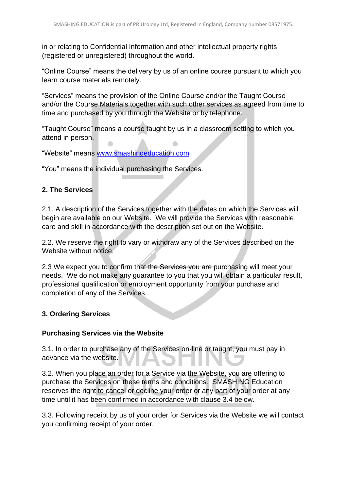in or relating to Confidential Information and other intellectual property rights (registered or unregistered) throughout the world.

"Online Course" means the delivery by us of an online course pursuant to which you learn course materials remotely.

"Services" means the provision of the Online Course and/or the Taught Course and/or the Course Materials together with such other services as agreed from time to time and purchased by you through the Website or by telephone.

"Taught Course" means a course taught by us in a classroom setting to which you attend in person.

"Website" means [www.smashingeducation.com](http://www.smashingeducation.com/)

"You" means the individual purchasing the Services.

## **2. The Services**

2.1. A description of the Services together with the dates on which the Services will begin are available on our Website. We will provide the Services with reasonable care and skill in accordance with the description set out on the Website.

2.2. We reserve the right to vary or withdraw any of the Services described on the Website without notice.

2.3 We expect you to confirm that the Services you are purchasing will meet your needs. We do not make any guarantee to you that you will obtain a particular result, professional qualification or employment opportunity from your purchase and completion of any of the Services.

## **3. Ordering Services**

#### **Purchasing Services via the Website**

3.1. In order to purchase any of the Services on-line or taught, you must pay in advance via the website.

3.2. When you place an order for a Service via the Website, you are offering to purchase the Services on these terms and conditions. SMASHING Education reserves the right to cancel or decline your order or any part of your order at any time until it has been confirmed in accordance with clause 3.4 below.

3.3. Following receipt by us of your order for Services via the Website we will contact you confirming receipt of your order.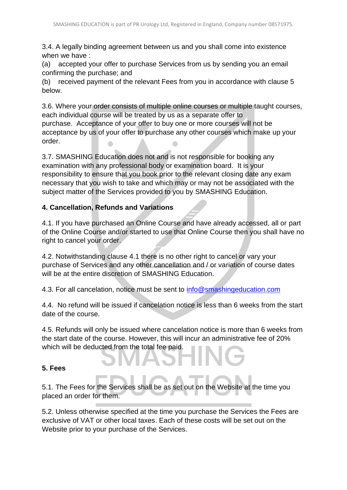3.4. A legally binding agreement between us and you shall come into existence when we have :

(a) accepted your offer to purchase Services from us by sending you an email confirming the purchase; and

(b) received payment of the relevant Fees from you in accordance with clause 5 below.

3.6. Where your order consists of multiple online courses or multiple taught courses, each individual course will be treated by us as a separate offer to purchase. Acceptance of your offer to buy one or more courses will not be acceptance by us of your offer to purchase any other courses which make up your order.  $\overline{\phantom{a}}$ 

3.7. SMASHING Education does not and is not responsible for booking any examination with any professional body or examination board. It is your responsibility to ensure that you book prior to the relevant closing date any exam necessary that you wish to take and which may or may not be associated with the subject matter of the Services provided to you by SMASHING Education.

## **4. Cancellation, Refunds and Variations**

4.1. If you have purchased an Online Course and have already accessed, all or part of the Online Course and/or started to use that Online Course then you shall have no right to cancel your order.

4.2. Notwithstanding clause 4.1 there is no other right to cancel or vary your purchase of Services and any other cancellation and / or variation of course dates will be at the entire discretion of SMASHING Education.

4.3. For all cancelation, notice must be sent to [info@smashingeducation.com](mailto:info@smashingeducation.com)

4.4. No refund will be issued if cancelation notice is less than 6 weeks from the start date of the course.

4.5. Refunds will only be issued where cancelation notice is more than 6 weeks from the start date of the course. However, this will incur an administrative fee of 20% which will be deducted from the total fee paid.

## **5. Fees**

5.1. The Fees for the Services shall be as set out on the Website at the time you placed an order for them.

5.2. Unless otherwise specified at the time you purchase the Services the Fees are exclusive of VAT or other local taxes. Each of these costs will be set out on the Website prior to your purchase of the Services.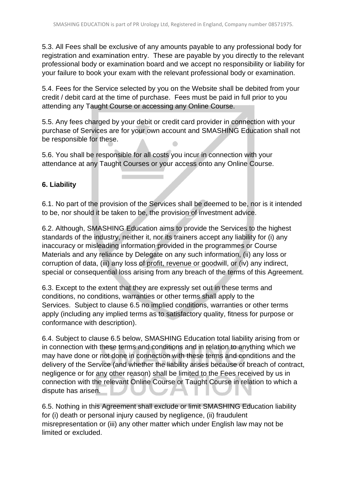5.3. All Fees shall be exclusive of any amounts payable to any professional body for registration and examination entry. These are payable by you directly to the relevant professional body or examination board and we accept no responsibility or liability for your failure to book your exam with the relevant professional body or examination.

5.4. Fees for the Service selected by you on the Website shall be debited from your credit / debit card at the time of purchase. Fees must be paid in full prior to you attending any Taught Course or accessing any Online Course.

5.5. Any fees charged by your debit or credit card provider in connection with your purchase of Services are for your own account and SMASHING Education shall not be responsible for these.  $\bullet$ 

5.6. You shall be responsible for all costs you incur in connection with your attendance at any Taught Courses or your access onto any Online Course.

## **6. Liability**

6.1. No part of the provision of the Services shall be deemed to be, nor is it intended to be, nor should it be taken to be, the provision of investment advice.

6.2. Although, SMASHING Education aims to provide the Services to the highest standards of the industry, neither it, nor its trainers accept any liability for (i) any inaccuracy or misleading information provided in the programmes or Course Materials and any reliance by Delegate on any such information, (ii) any loss or corruption of data, (iii) any loss of profit, revenue or goodwill, or (iv) any indirect, special or consequential loss arising from any breach of the terms of this Agreement.

6.3. Except to the extent that they are expressly set out in these terms and conditions, no conditions, warranties or other terms shall apply to the Services. Subject to clause 6.5 no implied conditions, warranties or other terms apply (including any implied terms as to satisfactory quality, fitness for purpose or conformance with description).

6.4. Subject to clause 6.5 below, SMASHING Education total liability arising from or in connection with these terms and conditions and in relation to anything which we may have done or not done in connection with these terms and conditions and the delivery of the Service (and whether the liability arises because of breach of contract, negligence or for any other reason) shall be limited to the Fees received by us in connection with the relevant Online Course or Taught Course in relation to which a dispute has arisen.

6.5. Nothing in this Agreement shall exclude or limit SMASHING Education liability for (i) death or personal injury caused by negligence, (ii) fraudulent misrepresentation or (iii) any other matter which under English law may not be limited or excluded.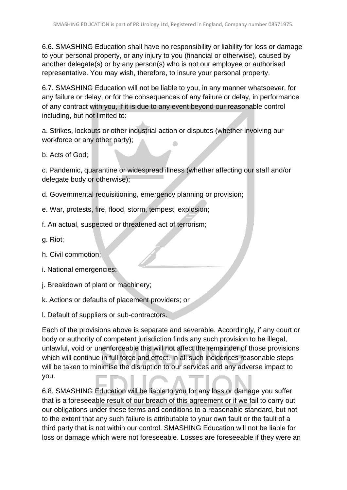6.6. SMASHING Education shall have no responsibility or liability for loss or damage to your personal property, or any injury to you (financial or otherwise), caused by another delegate(s) or by any person(s) who is not our employee or authorised representative. You may wish, therefore, to insure your personal property.

6.7. SMASHING Education will not be liable to you, in any manner whatsoever, for any failure or delay, or for the consequences of any failure or delay, in performance of any contract with you, if it is due to any event beyond our reasonable control including, but not limited to:

a. Strikes, lockouts or other industrial action or disputes (whether involving our workforce or any other party);  $\bullet$ 

b. Acts of God;

c. Pandemic, quarantine or widespread illness (whether affecting our staff and/or delegate body or otherwise);

d. Governmental requisitioning, emergency planning or provision;

e. War, protests, fire, flood, storm, tempest, explosion;

f. An actual, suspected or threatened act of terrorism;

g. Riot;

h. Civil commotion;

i. National emergencies;

j. Breakdown of plant or machinery;

k. Actions or defaults of placement providers; or

l. Default of suppliers or sub-contractors.

Each of the provisions above is separate and severable. Accordingly, if any court or body or authority of competent jurisdiction finds any such provision to be illegal, unlawful, void or unenforceable this will not affect the remainder of those provisions which will continue in full force and effect. In all such incidences reasonable steps will be taken to minimise the disruption to our services and any adverse impact to you.

6.8. SMASHING Education will be liable to you for any loss or damage you suffer that is a foreseeable result of our breach of this agreement or if we fail to carry out our obligations under these terms and conditions to a reasonable standard, but not to the extent that any such failure is attributable to your own fault or the fault of a third party that is not within our control. SMASHING Education will not be liable for loss or damage which were not foreseeable. Losses are foreseeable if they were an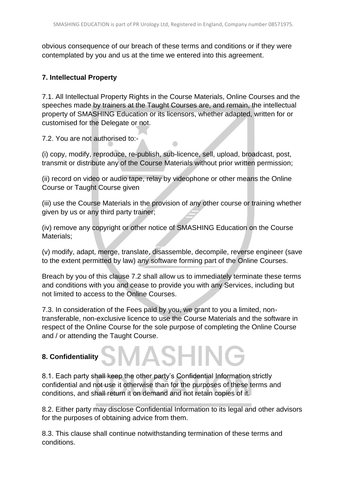obvious consequence of our breach of these terms and conditions or if they were contemplated by you and us at the time we entered into this agreement.

## **7. Intellectual Property**

7.1. All Intellectual Property Rights in the Course Materials, Online Courses and the speeches made by trainers at the Taught Courses are, and remain, the intellectual property of SMASHING Education or its licensors, whether adapted, written for or customised for the Delegate or not.

7.2. You are not authorised to:-

(i) copy, modify, reproduce, re-publish, sub-licence, sell, upload, broadcast, post, transmit or distribute any of the Course Materials without prior written permission;

(ii) record on video or audio tape, relay by videophone or other means the Online Course or Taught Course given

(iii) use the Course Materials in the provision of any other course or training whether given by us or any third party trainer;

(iv) remove any copyright or other notice of SMASHING Education on the Course Materials;

(v) modify, adapt, merge, translate, disassemble, decompile, reverse engineer (save to the extent permitted by law) any software forming part of the Online Courses.

Breach by you of this clause 7.2 shall allow us to immediately terminate these terms and conditions with you and cease to provide you with any Services, including but not limited to access to the Online Courses.

7.3. In consideration of the Fees paid by you, we grant to you a limited, nontransferable, non-exclusive licence to use the Course Materials and the software in respect of the Online Course for the sole purpose of completing the Online Course and / or attending the Taught Course.

**SMASHIN** 

## **8. Confidentiality**

8.1. Each party shall keep the other party's Confidential Information strictly confidential and not use it otherwise than for the purposes of these terms and conditions, and shall return it on demand and not retain copies of it.

8.2. Either party may disclose Confidential Information to its legal and other advisors for the purposes of obtaining advice from them.

8.3. This clause shall continue notwithstanding termination of these terms and conditions.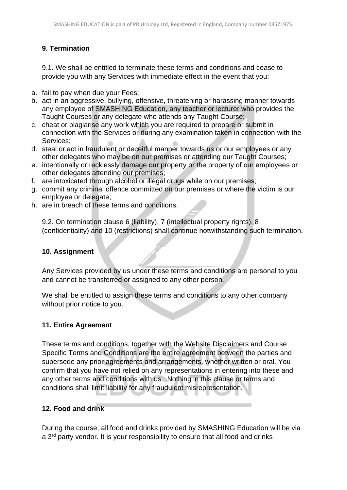## **9. Termination**

9.1. We shall be entitled to terminate these terms and conditions and cease to provide you with any Services with immediate effect in the event that you:

- a. fail to pay when due your Fees;
- b. act in an aggressive, bullying, offensive, threatening or harassing manner towards any employee of SMASHING Education, any teacher or lecturer who provides the Taught Courses or any delegate who attends any Taught Course;
- c. cheat or plagiarise any work which you are required to prepare or submit in connection with the Services or during any examination taken in connection with the Services;
- d. steal or act in fraudulent or deceitful manner towards us or our employees or any other delegates who may be on our premises or attending our Taught Courses;
- e. intentionally or recklessly damage our property or the property of our employees or other delegates attending our premises;
- f. are intoxicated through alcohol or illegal drugs while on our premises;
- g. commit any criminal offence committed on our premises or where the victim is our employee or delegate;
- h. are in breach of these terms and conditions.

9.2. On termination clause 6 (liability), 7 (intellectual property rights), 8 (confidentiality) and 10 (restrictions) shall continue notwithstanding such termination.

## **10. Assignment**

Any Services provided by us under these terms and conditions are personal to you and cannot be transferred or assigned to any other person.

We shall be entitled to assign these terms and conditions to any other company without prior notice to you.

## **11. Entire Agreement**

These terms and conditions, together with the Website Disclaimers and Course Specific Terms and Conditions are the entire agreement between the parties and supersede any prior agreements and arrangements, whether written or oral. You confirm that you have not relied on any representations in entering into these and any other terms and conditions with us. Nothing in this clause or terms and conditions shall limit liability for any fraudulent misrepresentation.

## **12. Food and drink**

During the course, all food and drinks provided by SMASHING Education will be via a 3<sup>rd</sup> party vendor. It is your responsibility to ensure that all food and drinks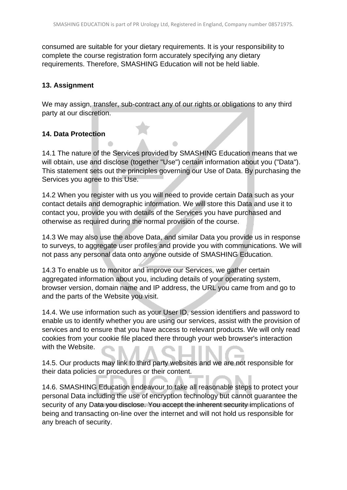consumed are suitable for your dietary requirements. It is your responsibility to complete the course registration form accurately specifying any dietary requirements. Therefore, SMASHING Education will not be held liable.

#### **13. Assignment**

We may assign, transfer, sub-contract any of our rights or obligations to any third party at our discretion.

## **14. Data Protection**

14.1 The nature of the Services provided by SMASHING Education means that we will obtain, use and disclose (together "Use") certain information about you ("Data"). This statement sets out the principles governing our Use of Data. By purchasing the Services you agree to this Use.

14.2 When you register with us you will need to provide certain Data such as your contact details and demographic information. We will store this Data and use it to contact you, provide you with details of the Services you have purchased and otherwise as required during the normal provision of the course.

14.3 We may also use the above Data, and similar Data you provide us in response to surveys, to aggregate user profiles and provide you with communications. We will not pass any personal data onto anyone outside of SMASHING Education.

14.3 To enable us to monitor and improve our Services, we gather certain aggregated information about you, including details of your operating system, browser version, domain name and IP address, the URL you came from and go to and the parts of the Website you visit.

14.4. We use information such as your User ID, session identifiers and password to enable us to identify whether you are using our services, assist with the provision of services and to ensure that you have access to relevant products. We will only read cookies from your cookie file placed there through your web browser's interaction with the Website.

14.5. Our products may link to third party websites and we are not responsible for their data policies or procedures or their content.

14.6. SMASHING Education endeavour to take all reasonable steps to protect your personal Data including the use of encryption technology but cannot guarantee the security of any Data you disclose. You accept the inherent security implications of being and transacting on-line over the internet and will not hold us responsible for any breach of security.